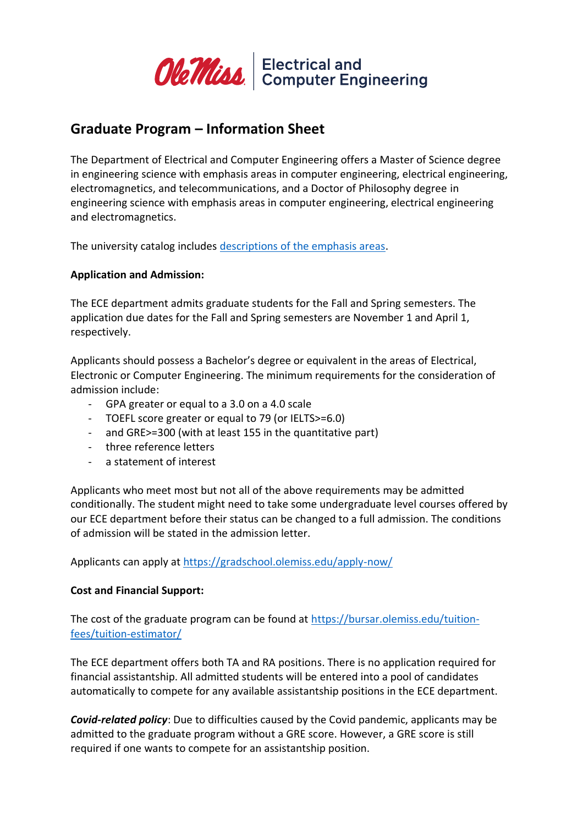

# **Graduate Program – Information Sheet**

The Department of Electrical and Computer Engineering offers a Master of Science degree in engineering science with emphasis areas in computer engineering, electrical engineering, electromagnetics, and telecommunications, and a Doctor of Philosophy degree in engineering science with emphasis areas in computer engineering, electrical engineering and electromagnetics.

The university catalog includes descriptions [of the emphasis areas.](https://catalog.olemiss.edu/engineering/electrical-computer-engineering/programs)

### **Application and Admission:**

The ECE department admits graduate students for the Fall and Spring semesters. The application due dates for the Fall and Spring semesters are November 1 and April 1, respectively.

Applicants should possess a Bachelor's degree or equivalent in the areas of Electrical, Electronic or Computer Engineering. The minimum requirements for the consideration of admission include:

- GPA greater or equal to a 3.0 on a 4.0 scale
- TOEFL score greater or equal to 79 (or IELTS>=6.0)
- and GRE>=300 (with at least 155 in the quantitative part)
- three reference letters
- a statement of interest

Applicants who meet most but not all of the above requirements may be admitted conditionally. The student might need to take some undergraduate level courses offered by our ECE department before their status can be changed to a full admission. The conditions of admission will be stated in the admission letter.

Applicants can apply at<https://gradschool.olemiss.edu/apply-now/>

#### **Cost and Financial Support:**

The cost of the graduate program can be found at [https://bursar.olemiss.edu/tuition](https://bursar.olemiss.edu/tuition-fees/tuition-estimator/)[fees/tuition-estimator/](https://bursar.olemiss.edu/tuition-fees/tuition-estimator/)

The ECE department offers both TA and RA positions. There is no application required for financial assistantship. All admitted students will be entered into a pool of candidates automatically to compete for any available assistantship positions in the ECE department.

*Covid-related policy*: Due to difficulties caused by the Covid pandemic, applicants may be admitted to the graduate program without a GRE score. However, a GRE score is still required if one wants to compete for an assistantship position.